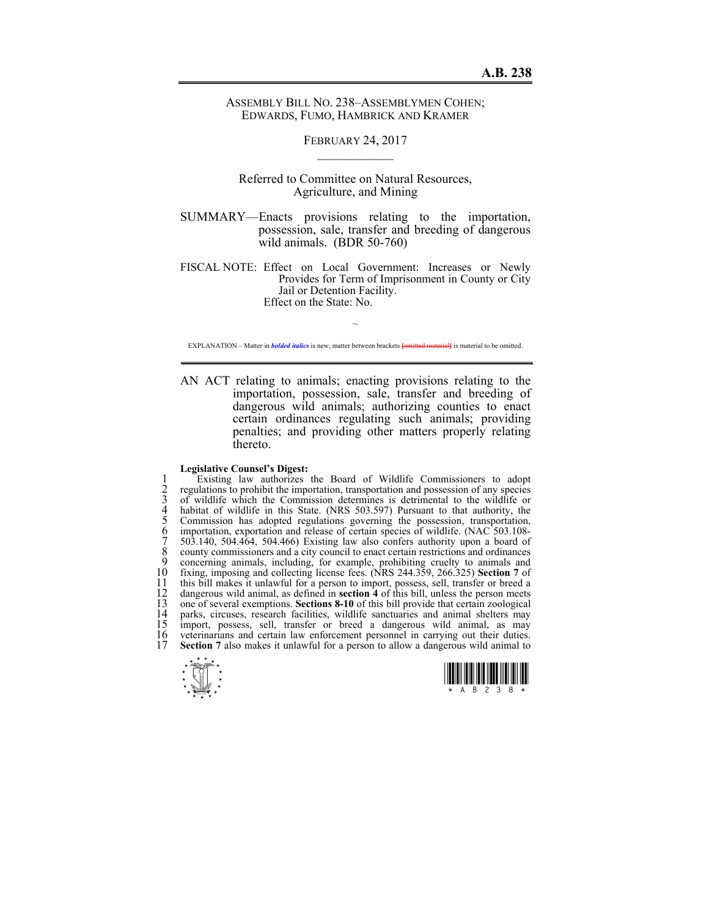ASSEMBLY BILL NO. 238–ASSEMBLYMEN COHEN; EDWARDS, FUMO, HAMBRICK AND KRAMER

> FEBRUARY 24, 2017  $\mathcal{L}_\text{max}$

Referred to Committee on Natural Resources, Agriculture, and Mining

SUMMARY—Enacts provisions relating to the importation, possession, sale, transfer and breeding of dangerous wild animals. (BDR 50-760)

FISCAL NOTE: Effect on Local Government: Increases or Newly Provides for Term of Imprisonment in County or City Jail or Detention Facility. Effect on the State: No.

 $\sim$ EXPLANATION – Matter in *bolded italics* is new; matter between brackets **[**omitted material**]** is material to be omitted.

AN ACT relating to animals; enacting provisions relating to the importation, possession, sale, transfer and breeding of dangerous wild animals; authorizing counties to enact certain ordinances regulating such animals; providing penalties; and providing other matters properly relating thereto.

## **Legislative Counsel's Digest:**

Existing law authorizes the Board of Wildlife Commissioners to adopt<br>regulations to prohibit the importation, transportation and possession of any species<br>of wildlife which the Commission determines is detrimental to the w regulations to prohibit the importation, transportation and possession of any species 3 of wildlife which the Commission determines is detrimental to the wildlife or habitat of wildlife in this State. (NRS 503.597) Pursuant to that authority, the 5 Commission has adopted regulations governing the possession, transportation, importation, exportation and release of certain species of wildlife. (NAC 503.108-7 503.140, 504.464, 504.466) Existing law also confers authority upon a board of 8 county commissioners and a city council to enact certain restrictions and ordinances<br>9 concerning animals, including, for example, prohibiting cruelty to animals and 9 concerning animals, including, for example, prohibiting cruelty to animals and 10 fixing, imposing and collecting license fees. (NRS 244.359, 266.325) **Section 7** of 10 fixing, imposing and collecting license fees. (NRS 244.359, 266.325) Section 7 of<br>11 this bill makes it unlawful for a person to import, possess, sell, transfer or breed a<br>12 dangerous wild animal, as defined in **sectio** 12 dangerous wild animal, as defined in **section 4** of this bill, unless the person meets 13 one of several exemptions. **Sections 8-10** of this bill provide that certain zoological 14 parks, circuses, research facilities, wildlife sanctuaries and animal shelters may<br>15 import, possess, sell, transfer or breed a dangerous wild animal, as may 15 import, possess, sell, transfer or breed a dangerous wild animal, as may 16 veterinarians and certain law enforcement personnel in carrying out their duties. 16 veterinarians and certain law enforcement personnel in carrying out their duties.<br>17 **Section** 7 also makes it unlawful for a person to allow a dangerous wild animal to **Section 7** also makes it unlawful for a person to allow a dangerous wild animal to



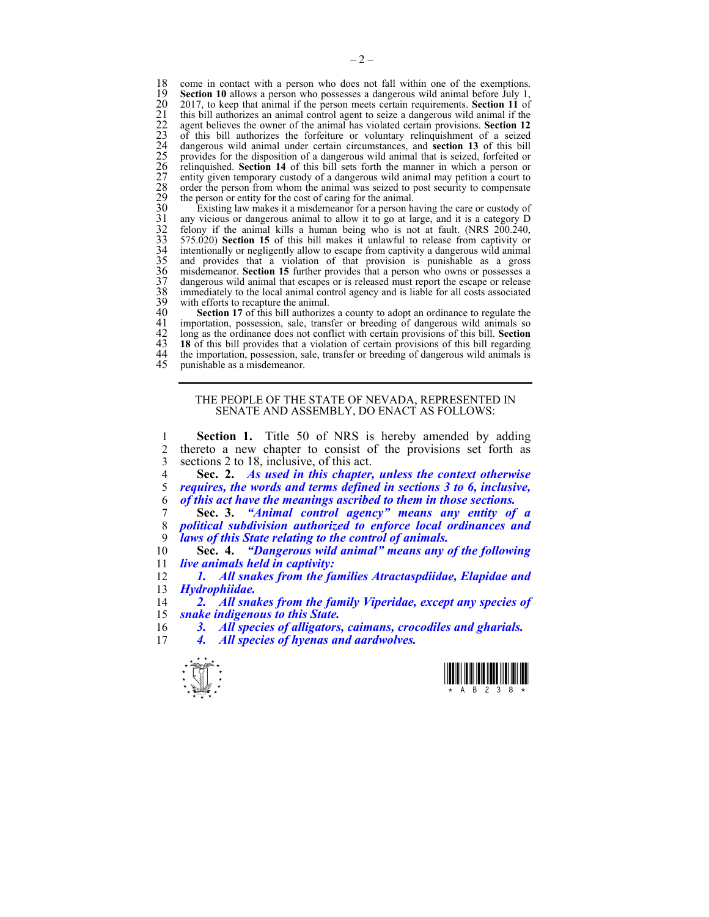18 come in contact with a person who does not fall within one of the exemptions.<br>19 **Section 10** allows a person who possesses a dangerous wild animal before July 1. 19 **Section 10** allows a person who possesses a dangerous wild animal before July 1, 20 2017, to keep that animal if the person meets certain requirements. **Section 11** of this bill authorizes an animal control agent to seize a dangerous wild animal if the agent believes the owner of the animal has violate 21 this bill authorizes an animal control agent to seize a dangerous wild animal if the 22 agent believes the owner of the animal has violated certain provisions. **Section 12** 23 of this bill authorizes the forfeiture or voluntary relinquishment of a seized 24 dangerous wild animal under certain circumstances, and **section 13** of this bill 25 provides for the disposition of a dangerous wild animal that is seized, forfeited or 26 relinquished. **Section 14** of this bill sets forth the manner in which a person or entity given temporary custody of a dangerous wild animal may petition a court to 28 order the person from whom the animal was seized to post security to compensate the person or entity for the cost of caring for the animal.

30 Existing law makes it a misdemeanor for a person having the care or custody of<br>31 any vicious or dangerous animal to allow it to go at large, and it is a category D<br>32 felony if the animal kills a human being who is not any vicious or dangerous animal to allow it to go at large, and it is a category D  $\frac{1}{200.240}$  felony if the animal kills a human being who is not at fault. (NRS 200.240, 33 575.020) **Section 15** of this bill makes it unlawful to release from captivity or intentionally or negligently allow to escape from captivity a dangerous wild animal and provides that a violation of that provision is punishable as a gross misdemeanor. **Section 15** further provides that a person who owns or possesses a dangerous wild animal that escapes or is released must report the escape or release immediately to the local animal control agency and is liable for all costs associated 39 with efforts to recapture the animal.<br>40 Section 17 of this bill authorize

40 **Section 17** of this bill authorizes a county to adopt an ordinance to regulate the importation, possession, sale, transfer or breeding of dangerous wild animals so 41 importation, possession, sale, transfer or breeding of dangerous wild animals so 42 long as the ordinance does not conflict with certain provisions of this bill. Section 42 long as the ordinance does not conflict with certain provisions of this bill. **Section**  43 **18** of this bill provides that a violation of certain provisions of this bill regarding 44 the importation, possession, sale, transfer or breeding of dangerous wild animals is<br>45 unnishable as a misdemeanor punishable as a misdemeanor.

## THE PEOPLE OF THE STATE OF NEVADA, REPRESENTED IN SENATE AND ASSEMBLY, DO ENACT AS FOLLOWS:

1 **Section 1.** Title 50 of NRS is hereby amended by adding 2 thereto a new chapter to consist of the provisions set forth as<br>3 sections 2 to 18 inclusive of this act 3 sections 2 to 18, inclusive, of this act.<br>4 Sec. 2. As used in this chapter.

4 **Sec. 2.** *As used in this chapter, unless the context otherwise*  5 *requires, the words and terms defined in sections 3 to 6, inclusive,*  6 *of this act have the meanings ascribed to them in those sections.* 

7 **Sec. 3.** *"Animal control agency" means any entity of a*  8 *political subdivision authorized to enforce local ordinances and*  laws of this State relating to the control of animals.

10 **Sec. 4.** *"Dangerous wild animal" means any of the following*  11 *live animals held in captivity:* 

12 *1. All snakes from the families Atractaspdiidae, Elapidae and*  13 *Hydrophiidae.* 

14 *2. All snakes from the family Viperidae, except any species of*  15 *snake indigenous to this State.* 

16 *3. All species of alligators, caimans, crocodiles and gharials.*  17 *4. All species of hyenas and aardwolves.* 

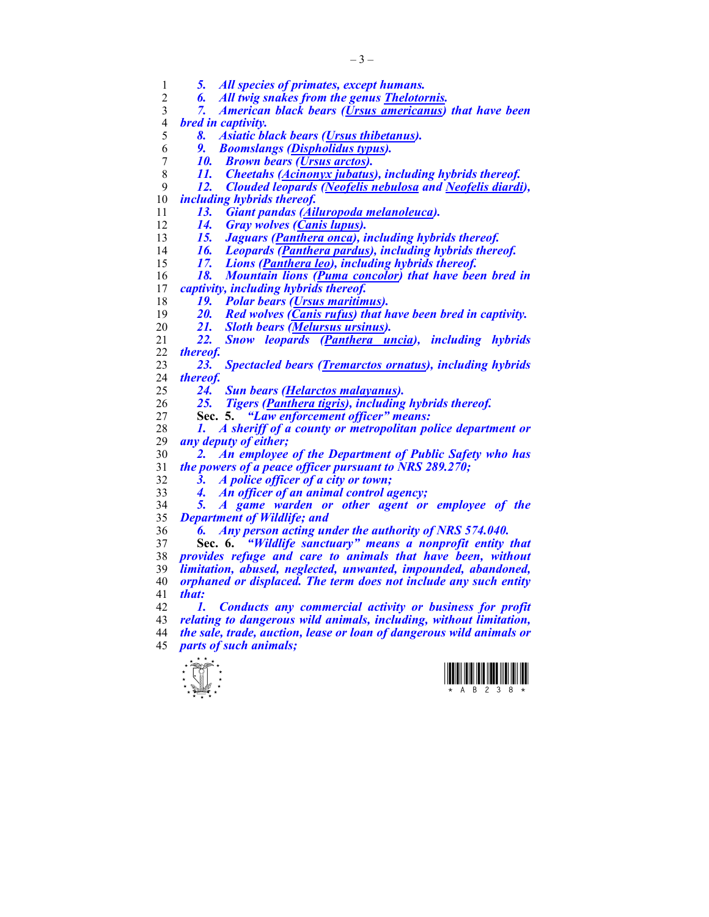| 1                | 5.                 | All species of primates, except humans.                              |
|------------------|--------------------|----------------------------------------------------------------------|
| $\overline{2}$   | 6.                 | All twig snakes from the genus Thelotornis.                          |
| 3                | 7.                 | American black bears (Ursus americanus) that have been               |
| $\overline{4}$   | bred in captivity. |                                                                      |
| 5                | 8.                 | <b>Asiatic black bears (Ursus thibetanus).</b>                       |
| 6                | 9.                 | <b>Boomslangs (Dispholidus typus).</b>                               |
| $\boldsymbol{7}$ | 10.                | <b>Brown bears (Ursus arctos).</b>                                   |
| 8                | 11.                | <b>Cheetahs (Acinonyx jubatus), including hybrids thereof.</b>       |
| 9                | 12.                | <b>Clouded leopards (Neofelis nebulosa and Neofelis diardi),</b>     |
| 10               |                    | <i>including hybrids thereof.</i>                                    |
| 11               | 13.                | Giant pandas (Ailuropoda melanoleuca).                               |
| 12               | 14.                | <b>Gray wolves (Canis lupus).</b>                                    |
| 13               | 15.                | Jaguars (Panthera onca), including hybrids thereof.                  |
| 14               | 16.                | Leopards (Panthera pardus), including hybrids thereof.               |
| 15               | 17.                | Lions (Panthera leo), including hybrids thereof.                     |
| 16               | 18.                | Mountain lions (Puma concolor) that have been bred in                |
| 17               |                    | captivity, including hybrids thereof.                                |
| 18               | 19.                | <b>Polar bears (Ursus maritimus).</b>                                |
| 19               | 20.                | Red wolves (Canis rufus) that have been bred in captivity.           |
| 20               | 21.                | <b>Sloth bears (Melursus ursinus).</b>                               |
| 21               | 22.                | Snow leopards (Panthera uncia), including hybrids                    |
| 22               | thereof.           |                                                                      |
| 23               | 23.                | <b>Spectacled bears (Tremarctos ornatus), including hybrids</b>      |
| 24               | thereof.           |                                                                      |
| 25               | 24.                | <b>Sun bears (Helarctos malayanus).</b>                              |
| 26               | 25.                | Tigers (Panthera tigris), including hybrids thereof.                 |
| 27               |                    | "Law enforcement officer" means:<br>Sec. 5.                          |
| 28               | 1.                 | A sheriff of a county or metropolitan police department or           |
| 29               |                    | any deputy of either;                                                |
| 30               | 2.                 | An employee of the Department of Public Safety who has               |
| 31               |                    | the powers of a peace officer pursuant to NRS 289.270;               |
| 32               | 3.                 | A police officer of a city or town;                                  |
| 33               | 4.                 | An officer of an animal control agency;                              |
| 34               | 5.                 | A game warden or other agent or employee of the                      |
| 35               |                    | <b>Department of Wildlife; and</b>                                   |
| 36               | 6.                 | Any person acting under the authority of NRS 574.040.                |
| 37               |                    | "Wildlife sanctuary" means a nonprofit entity that<br>Sec. 6.        |
| 38               |                    | provides refuge and care to animals that have been, without          |
| 39               |                    | limitation, abused, neglected, unwanted, impounded, abandoned,       |
| 40               |                    | orphaned or displaced. The term does not include any such entity     |
| 41               | that:              |                                                                      |
| 42               | 1.                 | Conducts any commercial activity or business for profit              |
| 43               |                    | relating to dangerous wild animals, including, without limitation,   |
| 44               |                    | the sale, trade, auction, lease or loan of dangerous wild animals or |
| 45               |                    | parts of such animals;                                               |
|                  | $x \star x$        |                                                                      |



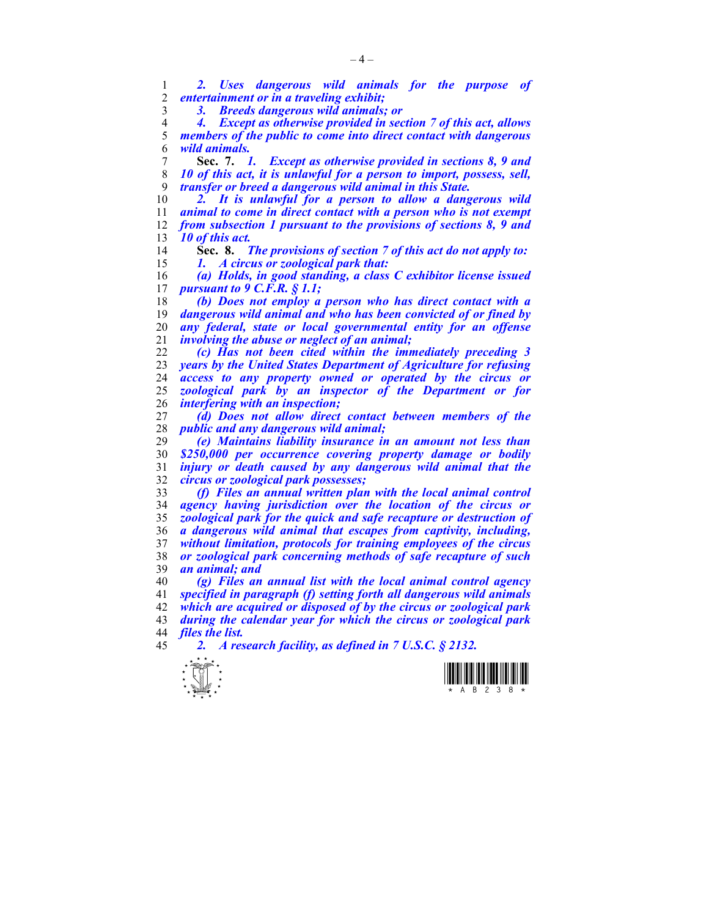*2. Uses dangerous wild animals for the purpose of entertainment or in a traveling exhibit;* 

*3. Breeds dangerous wild animals; or* 

*4. Except as otherwise provided in section 7 of this act, allows members of the public to come into direct contact with dangerous wild animals.*

**Sec. 7.** *1. Except as otherwise provided in sections 8, 9 and 10 of this act, it is unlawful for a person to import, possess, sell, transfer or breed a dangerous wild animal in this State.* 

2. It is unlawful for a person to allow a dangerous wild *animal to come in direct contact with a person who is not exempt from subsection 1 pursuant to the provisions of sections 8, 9 and 10 of this act.* 

**Sec. 8.** *The provisions of section 7 of this act do not apply to: 1. A circus or zoological park that:* 

*(a) Holds, in good standing, a class C exhibitor license issued pursuant to 9 C.F.R. § 1.1;* 

*(b) Does not employ a person who has direct contact with a dangerous wild animal and who has been convicted of or fined by any federal, state or local governmental entity for an offense involving the abuse or neglect of an animal;* 

*(c) Has not been cited within the immediately preceding 3 years by the United States Department of Agriculture for refusing access to any property owned or operated by the circus or zoological park by an inspector of the Department or for interfering with an inspection;* 

*(d) Does not allow direct contact between members of the public and any dangerous wild animal;* 

*(e) Maintains liability insurance in an amount not less than \$250,000 per occurrence covering property damage or bodily injury or death caused by any dangerous wild animal that the circus or zoological park possesses;* 

*(f) Files an annual written plan with the local animal control agency having jurisdiction over the location of the circus or zoological park for the quick and safe recapture or destruction of a dangerous wild animal that escapes from captivity, including, without limitation, protocols for training employees of the circus or zoological park concerning methods of safe recapture of such an animal; and* 

*(g) Files an annual list with the local animal control agency specified in paragraph (f) setting forth all dangerous wild animals which are acquired or disposed of by the circus or zoological park during the calendar year for which the circus or zoological park files the list.* 

*2. A research facility, as defined in 7 U.S.C. § 2132.* 



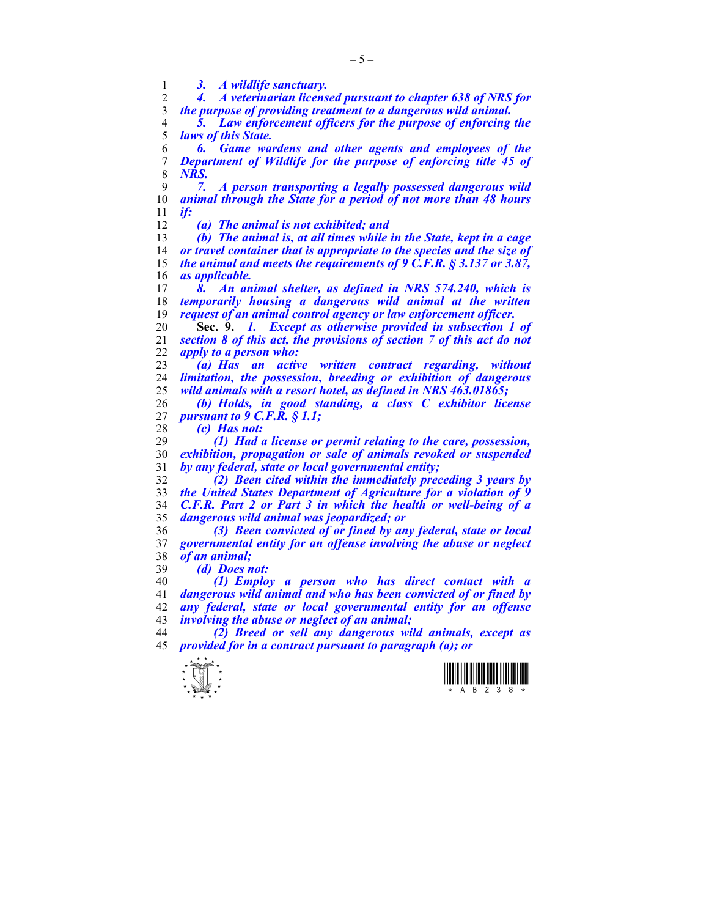*3. A wildlife sanctuary.* 

*4. A veterinarian licensed pursuant to chapter 638 of NRS for the purpose of providing treatment to a dangerous wild animal.* 

*5. Law enforcement officers for the purpose of enforcing the laws of this State.* 

*6. Game wardens and other agents and employees of the Department of Wildlife for the purpose of enforcing title 45 of NRS.* 

*7. A person transporting a legally possessed dangerous wild animal through the State for a period of not more than 48 hours if:* 

*(a) The animal is not exhibited; and* 

*(b) The animal is, at all times while in the State, kept in a cage or travel container that is appropriate to the species and the size of the animal and meets the requirements of 9 C.F.R. § 3.137 or 3.87, as applicable.* 

*8. An animal shelter, as defined in NRS 574.240, which is temporarily housing a dangerous wild animal at the written request of an animal control agency or law enforcement officer.* 

**Sec. 9.** *1. Except as otherwise provided in subsection 1 of section 8 of this act, the provisions of section 7 of this act do not apply to a person who:* 

23 <sup>*(a) Has an active written contract regarding, without*</sup> *limitation, the possession, breeding or exhibition of dangerous wild animals with a resort hotel, as defined in NRS 463.01865;* 

*(b) Holds, in good standing, a class C exhibitor license pursuant to 9 C.F.R. § 1.1;* 

*(c) Has not:* 

*(1) Had a license or permit relating to the care, possession, exhibition, propagation or sale of animals revoked or suspended by any federal, state or local governmental entity;* 

*(2) Been cited within the immediately preceding 3 years by the United States Department of Agriculture for a violation of 9 C.F.R. Part 2 or Part 3 in which the health or well-being of a dangerous wild animal was jeopardized; or* 

*(3) Been convicted of or fined by any federal, state or local governmental entity for an offense involving the abuse or neglect of an animal;* 

*(d) Does not:* 

*(1) Employ a person who has direct contact with a dangerous wild animal and who has been convicted of or fined by any federal, state or local governmental entity for an offense involving the abuse or neglect of an animal;* 

*(2) Breed or sell any dangerous wild animals, except as provided for in a contract pursuant to paragraph (a); or* 



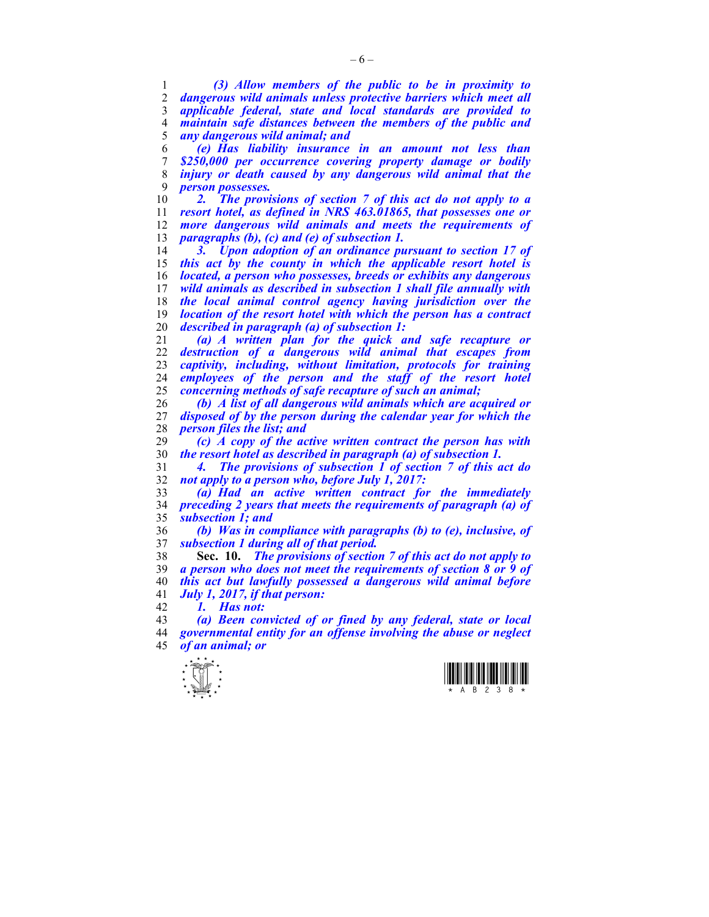*(3) Allow members of the public to be in proximity to dangerous wild animals unless protective barriers which meet all applicable federal, state and local standards are provided to maintain safe distances between the members of the public and any dangerous wild animal; and* 

*(e) Has liability insurance in an amount not less than \$250,000 per occurrence covering property damage or bodily injury or death caused by any dangerous wild animal that the person possesses.* 

2. The provisions of section 7 of this act do not apply to a *resort hotel, as defined in NRS 463.01865, that possesses one or more dangerous wild animals and meets the requirements of paragraphs (b), (c) and (e) of subsection 1.* 

*3. Upon adoption of an ordinance pursuant to section 17 of this act by the county in which the applicable resort hotel is located, a person who possesses, breeds or exhibits any dangerous wild animals as described in subsection 1 shall file annually with the local animal control agency having jurisdiction over the location of the resort hotel with which the person has a contract described in paragraph (a) of subsection 1:* 

*(a) A written plan for the quick and safe recapture or destruction of a dangerous wild animal that escapes from captivity, including, without limitation, protocols for training employees of the person and the staff of the resort hotel concerning methods of safe recapture of such an animal;* 

*(b) A list of all dangerous wild animals which are acquired or disposed of by the person during the calendar year for which the person files the list; and* 

*(c) A copy of the active written contract the person has with the resort hotel as described in paragraph (a) of subsection 1.* 

*4. The provisions of subsection 1 of section 7 of this act do not apply to a person who, before July 1, 2017:* 

*(a) Had an active written contract for the immediately preceding 2 years that meets the requirements of paragraph (a) of subsection 1; and* 

*(b) Was in compliance with paragraphs (b) to (e), inclusive, of subsection 1 during all of that period.* 

**Sec. 10.** *The provisions of section 7 of this act do not apply to a person who does not meet the requirements of section 8 or 9 of this act but lawfully possessed a dangerous wild animal before July 1, 2017, if that person:* 

*1. Has not:* 

*(a) Been convicted of or fined by any federal, state or local governmental entity for an offense involving the abuse or neglect of an animal; or* 



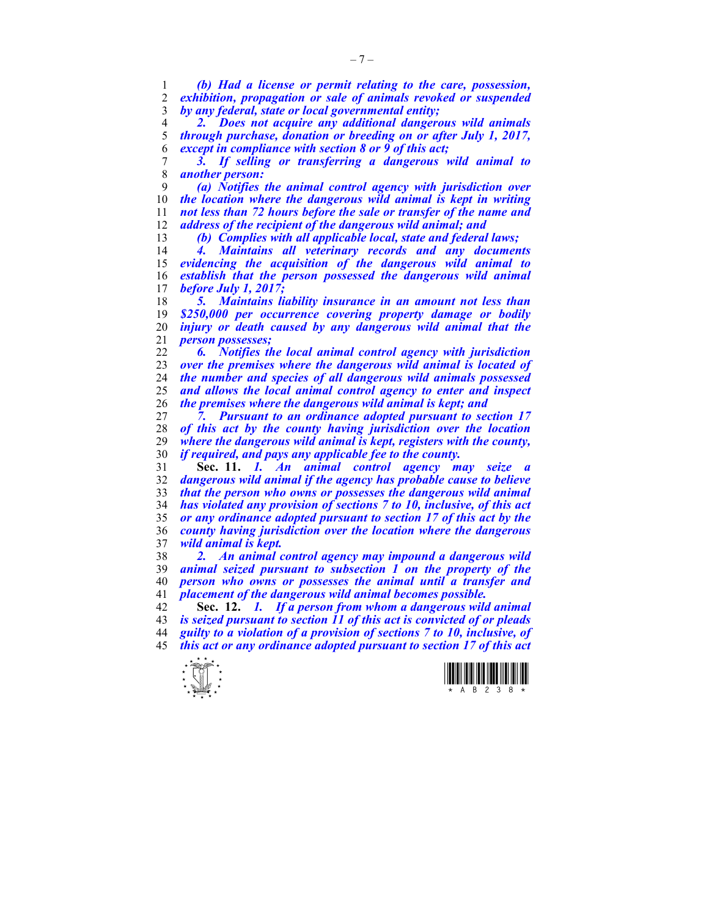*(b) Had a license or permit relating to the care, possession, exhibition, propagation or sale of animals revoked or suspended by any federal, state or local governmental entity;* 

*2. Does not acquire any additional dangerous wild animals through purchase, donation or breeding on or after July 1, 2017, except in compliance with section 8 or 9 of this act;* 

*3. If selling or transferring a dangerous wild animal to another person:* 

*(a) Notifies the animal control agency with jurisdiction over the location where the dangerous wild animal is kept in writing not less than 72 hours before the sale or transfer of the name and address of the recipient of the dangerous wild animal; and* 

*(b) Complies with all applicable local, state and federal laws;* 

*4. Maintains all veterinary records and any documents evidencing the acquisition of the dangerous wild animal to establish that the person possessed the dangerous wild animal before July 1, 2017;* 

*5. Maintains liability insurance in an amount not less than \$250,000 per occurrence covering property damage or bodily injury or death caused by any dangerous wild animal that the person possesses;* 

*6. Notifies the local animal control agency with jurisdiction over the premises where the dangerous wild animal is located of the number and species of all dangerous wild animals possessed and allows the local animal control agency to enter and inspect the premises where the dangerous wild animal is kept; and* 

*7. Pursuant to an ordinance adopted pursuant to section 17 of this act by the county having jurisdiction over the location where the dangerous wild animal is kept, registers with the county, if required, and pays any applicable fee to the county.* 

**Sec. 11.** *1. An animal control agency may seize a dangerous wild animal if the agency has probable cause to believe that the person who owns or possesses the dangerous wild animal has violated any provision of sections 7 to 10, inclusive, of this act or any ordinance adopted pursuant to section 17 of this act by the county having jurisdiction over the location where the dangerous wild animal is kept.* 

*2. An animal control agency may impound a dangerous wild animal seized pursuant to subsection 1 on the property of the person who owns or possesses the animal until a transfer and placement of the dangerous wild animal becomes possible.* 

**Sec. 12.** *1. If a person from whom a dangerous wild animal is seized pursuant to section 11 of this act is convicted of or pleads guilty to a violation of a provision of sections 7 to 10, inclusive, of this act or any ordinance adopted pursuant to section 17 of this act* 



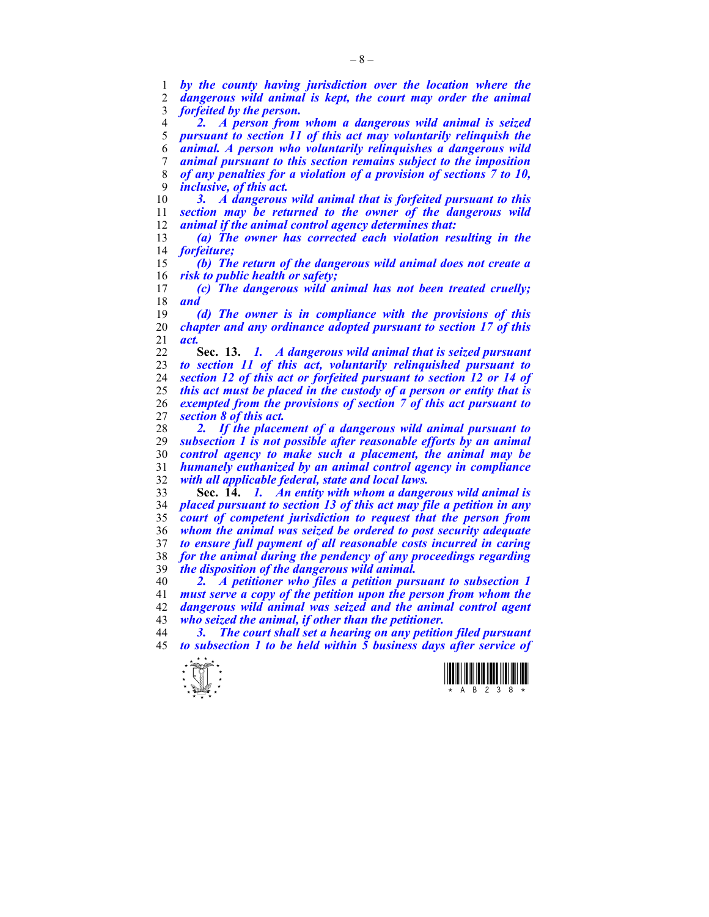*by the county having jurisdiction over the location where the*  dangerous wild animal is kept, the court may order the animal *forfeited by the person.* 

*2. A person from whom a dangerous wild animal is seized pursuant to section 11 of this act may voluntarily relinquish the animal. A person who voluntarily relinquishes a dangerous wild animal pursuant to this section remains subject to the imposition of any penalties for a violation of a provision of sections 7 to 10, inclusive, of this act.* 

*3. A dangerous wild animal that is forfeited pursuant to this section may be returned to the owner of the dangerous wild animal if the animal control agency determines that:* 

*(a) The owner has corrected each violation resulting in the forfeiture;* 

*(b) The return of the dangerous wild animal does not create a risk to public health or safety;* 

*(c) The dangerous wild animal has not been treated cruelly; and* 

*(d) The owner is in compliance with the provisions of this chapter and any ordinance adopted pursuant to section 17 of this act.* 

**Sec. 13.** *1. A dangerous wild animal that is seized pursuant to section 11 of this act, voluntarily relinquished pursuant to section 12 of this act or forfeited pursuant to section 12 or 14 of this act must be placed in the custody of a person or entity that is exempted from the provisions of section 7 of this act pursuant to section 8 of this act.* 

*2. If the placement of a dangerous wild animal pursuant to subsection 1 is not possible after reasonable efforts by an animal control agency to make such a placement, the animal may be humanely euthanized by an animal control agency in compliance with all applicable federal, state and local laws.* 

**Sec. 14.** *1. An entity with whom a dangerous wild animal is placed pursuant to section 13 of this act may file a petition in any court of competent jurisdiction to request that the person from whom the animal was seized be ordered to post security adequate to ensure full payment of all reasonable costs incurred in caring for the animal during the pendency of any proceedings regarding the disposition of the dangerous wild animal.* 

*2. A petitioner who files a petition pursuant to subsection 1 must serve a copy of the petition upon the person from whom the dangerous wild animal was seized and the animal control agent who seized the animal, if other than the petitioner.* 

*3. The court shall set a hearing on any petition filed pursuant to subsection 1 to be held within 5 business days after service of* 



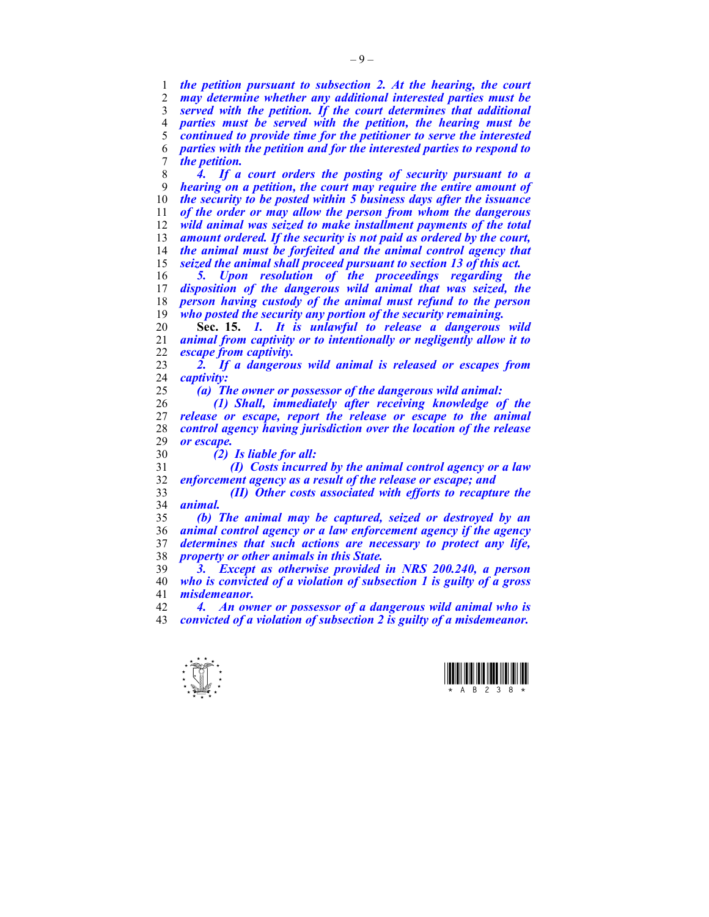*the petition pursuant to subsection 2. At the hearing, the court may determine whether any additional interested parties must be served with the petition. If the court determines that additional parties must be served with the petition, the hearing must be continued to provide time for the petitioner to serve the interested parties with the petition and for the interested parties to respond to the petition.* 

*4. If a court orders the posting of security pursuant to a hearing on a petition, the court may require the entire amount of the security to be posted within 5 business days after the issuance of the order or may allow the person from whom the dangerous wild animal was seized to make installment payments of the total amount ordered. If the security is not paid as ordered by the court, the animal must be forfeited and the animal control agency that seized the animal shall proceed pursuant to section 13 of this act.* 

*5. Upon resolution of the proceedings regarding the*  disposition of the dangerous wild animal that was seized, the *person having custody of the animal must refund to the person who posted the security any portion of the security remaining.* 

**Sec. 15.** *1. It is unlawful to release a dangerous wild animal from captivity or to intentionally or negligently allow it to escape from captivity.* 

*2. If a dangerous wild animal is released or escapes from captivity:* 

*(a) The owner or possessor of the dangerous wild animal:* 

*(1) Shall, immediately after receiving knowledge of the release or escape, report the release or escape to the animal control agency having jurisdiction over the location of the release or escape.* 

*(2) Is liable for all:* 

*(I) Costs incurred by the animal control agency or a law enforcement agency as a result of the release or escape; and* 

*(II) Other costs associated with efforts to recapture the animal.* 

*(b) The animal may be captured, seized or destroyed by an animal control agency or a law enforcement agency if the agency determines that such actions are necessary to protect any life, property or other animals in this State.* 

*3. Except as otherwise provided in NRS 200.240, a person who is convicted of a violation of subsection 1 is guilty of a gross misdemeanor.* 

*4. An owner or possessor of a dangerous wild animal who is convicted of a violation of subsection 2 is guilty of a misdemeanor.* 



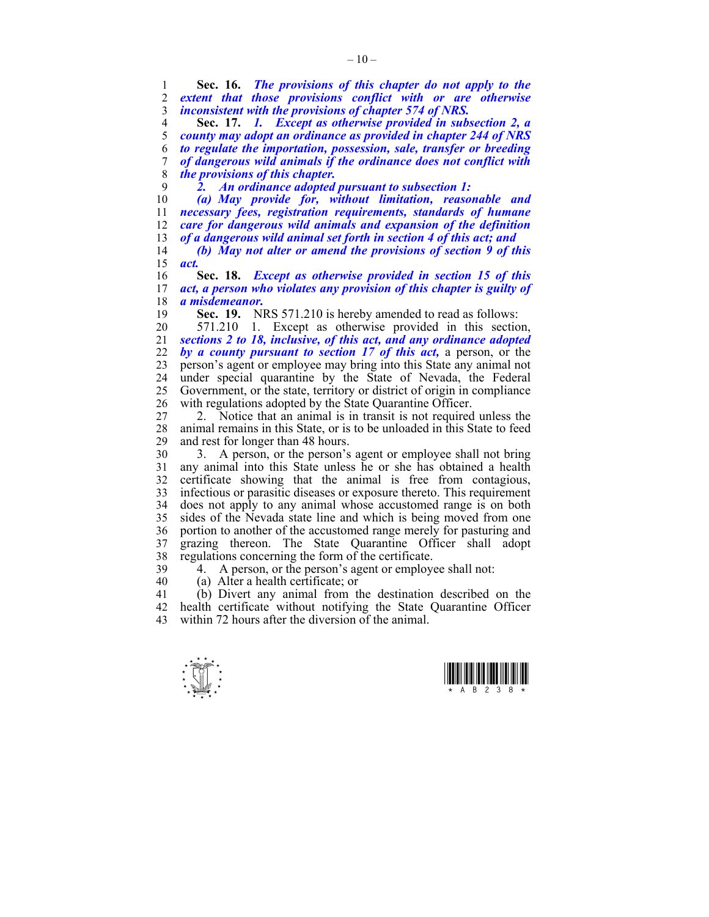1 **Sec. 16.** *The provisions of this chapter do not apply to the*  extent that those provisions conflict with or are otherwise 3 *inconsistent with the provisions of chapter 574 of NRS.* 

**Sec. 17.** *1. Except as otherwise provided in subsection 2, a county may adopt an ordinance as provided in chapter 244 of NRS to regulate the importation, possession, sale, transfer or breeding of dangerous wild animals if the ordinance does not conflict with the provisions of this chapter.* 

9 *2. An ordinance adopted pursuant to subsection 1:* 

*(a) May provide for, without limitation, reasonable and necessary fees, registration requirements, standards of humane care for dangerous wild animals and expansion of the definition of a dangerous wild animal set forth in section 4 of this act; and* 

14 *(b) May not alter or amend the provisions of section 9 of this*  15 *act.* 

16 **Sec. 18.** *Except as otherwise provided in section 15 of this*  act, a person who violates any provision of this chapter is guilty of 18 *a misdemeanor.* 

19 **Sec. 19.** NRS 571.210 is hereby amended to read as follows:

20 571.210 1. Except as otherwise provided in this section, 21 *sections 2 to 18, inclusive, of this act, and any ordinance adopted*  22 *by a county pursuant to section 17 of this act,* a person, or the 23 person's agent or employee may bring into this State any animal not 24 under special quarantine by the State of Nevada, the Federal 25 Government, or the state, territory or district of origin in compliance 26 with regulations adopted by the State Quarantine Officer.

27 2. Notice that an animal is in transit is not required unless the 28 animal remains in this State, or is to be unloaded in this State to feed<br>29 and rest for longer than 48 hours. and rest for longer than 48 hours.

30 3. A person, or the person's agent or employee shall not bring 31 any animal into this State unless he or she has obtained a health 32 certificate showing that the animal is free from contagious, 33 infectious or parasitic diseases or exposure thereto. This requirement 34 does not apply to any animal whose accustomed range is on both 35 sides of the Nevada state line and which is being moved from one 36 portion to another of the accustomed range merely for pasturing and 37 grazing thereon. The State Quarantine Officer shall adopt 38 regulations concerning the form of the certificate.

39 4. A person, or the person's agent or employee shall not:

40 (a) Alter a health certificate; or

41 (b) Divert any animal from the destination described on the 42 health certificate without notifying the State Quarantine Officer 43 within 72 hours after the diversion of the animal.

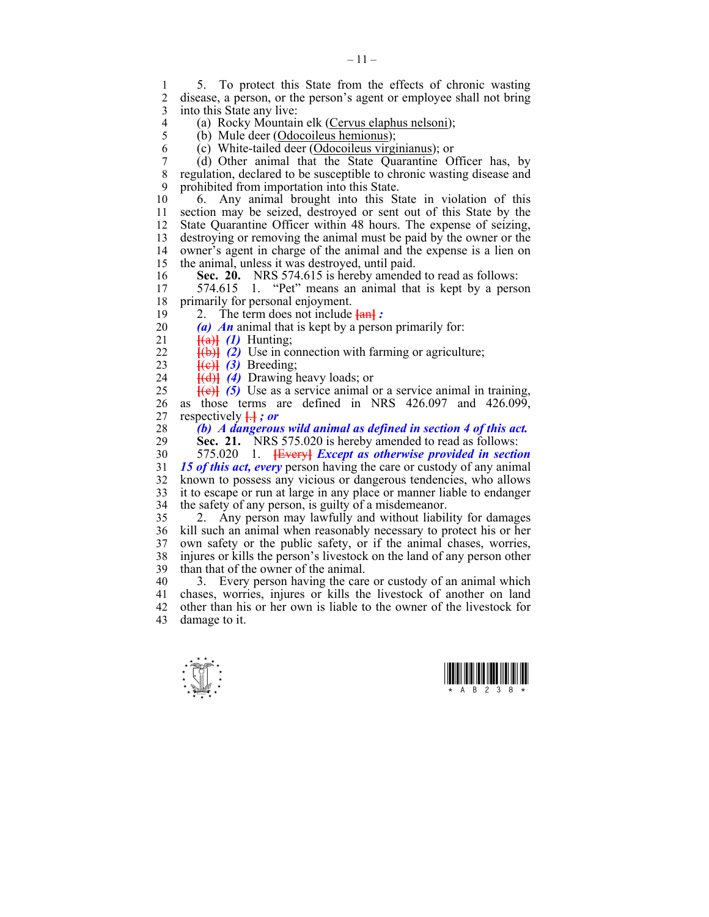1 5. To protect this State from the effects of chronic wasting<br>2 disease a person or the person's agent or employee shall not bring disease, a person, or the person's agent or employee shall not bring 3 into this State any live:

4 (a) Rocky Mountain elk (Cervus elaphus nelsoni);<br>5 (b) Mule deer (Odocoileus hemionus):

5 (b) Mule deer (Odocoileus hemionus);

6 (c) White-tailed deer (Odocoileus virginianus); or

7 (d) Other animal that the State Quarantine Officer has, by regulation, declared to be susceptible to chronic wasting disease and 9 prohibited from importation into this State.

10 6. Any animal brought into this State in violation of this 11 section may be seized, destroyed or sent out of this State by the 12 State Quarantine Officer within 48 hours. The expense of seizing, 13 destroying or removing the animal must be paid by the owner or the 14 owner's agent in charge of the animal and the expense is a lien on 15 the animal, unless it was destroyed, until paid.

16 **Sec. 20.** NRS 574.615 is hereby amended to read as follows:<br>17 574.615 1 "Pet" means an animal that is kept by a perse

574.615 1. "Pet" means an animal that is kept by a person 18 primarily for personal enjoyment.

- 19 2. The term does not include **[**an**]** *:*
- 20 *(a) An* animal that is kept by a person primarily for:
- 21 **[**(a)**]** *(1)* Hunting;
- 22 **[**(b)**]** *(2)* Use in connection with farming or agriculture;
- 23  $\vec{f}(e)$  *(3)* Breeding;

24 **[**(d)**]** *(4)* Drawing heavy loads; or

25  $\frac{[e]}{[e]}$  (5) Use as a service animal or a service animal in training, 26 as those terms are defined in NRS 426.097 and 426.099,

27 respectively **[**.**]** *; or* 

28 *(b) A dangerous wild animal as defined in section 4 of this act.* 

**Sec. 21.** NRS 575.020 is hereby amended to read as follows:

30 575.020 1. **[**Every**]** *Except as otherwise provided in section*  31 *15 of this act, every* person having the care or custody of any animal 32 known to possess any vicious or dangerous tendencies, who allows 33 it to escape or run at large in any place or manner liable to endanger 34 the safety of any person, is guilty of a misdemeanor.

35 2. Any person may lawfully and without liability for damages 36 kill such an animal when reasonably necessary to protect his or her 37 own safety or the public safety, or if the animal chases, worries, 38 injures or kills the person's livestock on the land of any person other 39 than that of the owner of the animal.

40 3. Every person having the care or custody of an animal which 41 chases, worries, injures or kills the livestock of another on land 42 other than his or her own is liable to the owner of the livestock for 43 damage to it.

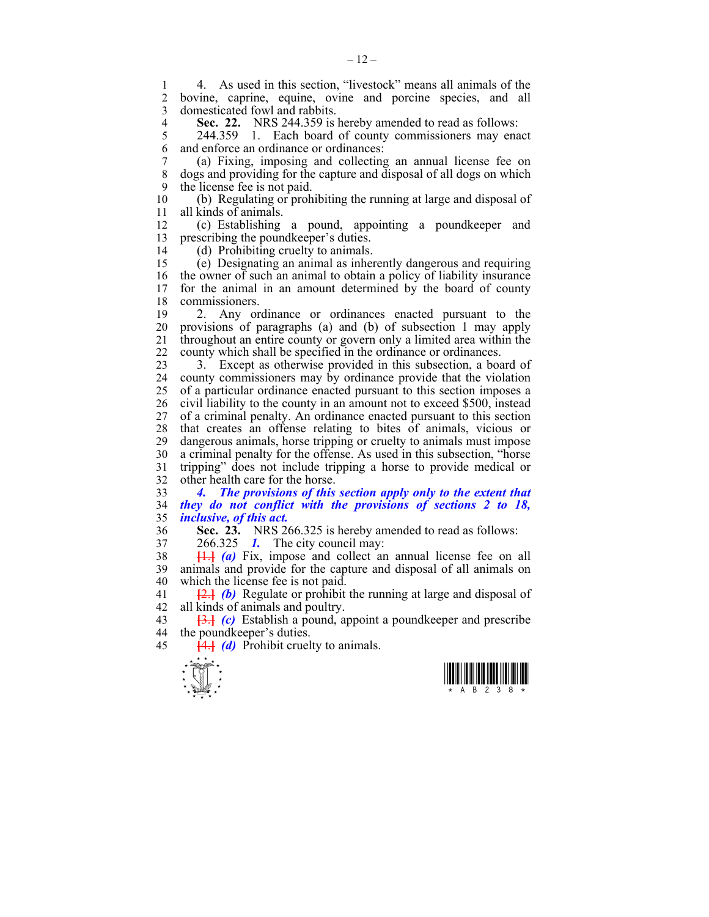1 4. As used in this section, "livestock" means all animals of the bovine, caprine, equine, ovine and porcine species, and all 3 domesticated fowl and rabbits.

**Sec. 22.** NRS 244.359 is hereby amended to read as follows:<br>5 244.359 1. Each board of county commissioners may ena

244.359 1. Each board of county commissioners may enact 6 and enforce an ordinance or ordinances:

7 (a) Fixing, imposing and collecting an annual license fee on 8 dogs and providing for the capture and disposal of all dogs on which 9 the license fee is not paid.

10 (b) Regulating or prohibiting the running at large and disposal of 11 all kinds of animals.

12 (c) Establishing a pound, appointing a poundkeeper and 13 prescribing the poundkeeper's duties.

14 (d) Prohibiting cruelty to animals.

15 (e) Designating an animal as inherently dangerous and requiring 16 the owner of such an animal to obtain a policy of liability insurance 17 for the animal in an amount determined by the board of county 18 commissioners.

19 2. Any ordinance or ordinances enacted pursuant to the 20 provisions of paragraphs (a) and (b) of subsection 1 may apply 21 throughout an entire county or govern only a limited area within the 22 county which shall be specified in the ordinance or ordinances.

23 3. Except as otherwise provided in this subsection, a board of 24 county commissioners may by ordinance provide that the violation 25 of a particular ordinance enacted pursuant to this section imposes a 26 civil liability to the county in an amount not to exceed \$500, instead 27 of a criminal penalty. An ordinance enacted pursuant to this section 28 that creates an offense relating to bites of animals, vicious or 29 dangerous animals, horse tripping or cruelty to animals must impose 30 a criminal penalty for the offense. As used in this subsection, "horse 31 tripping" does not include tripping a horse to provide medical or 32 other health care for the horse.

33 *4. The provisions of this section apply only to the extent that*  34 *they do not conflict with the provisions of sections 2 to 18,*  35 *inclusive, of this act.* 

36 **Sec. 23.** NRS 266.325 is hereby amended to read as follows:

37 266.325 *1.* The city council may:

38 **[**1.**]** *(a)* Fix, impose and collect an annual license fee on all 39 animals and provide for the capture and disposal of all animals on 40 which the license fee is not paid.

41 **[**2.**]** *(b)* Regulate or prohibit the running at large and disposal of 42 all kinds of animals and poultry.

43 **[**3.**]** *(c)* Establish a pound, appoint a poundkeeper and prescribe 44 the poundkeeper's duties.

45 **[**4.**]** *(d)* Prohibit cruelty to animals.

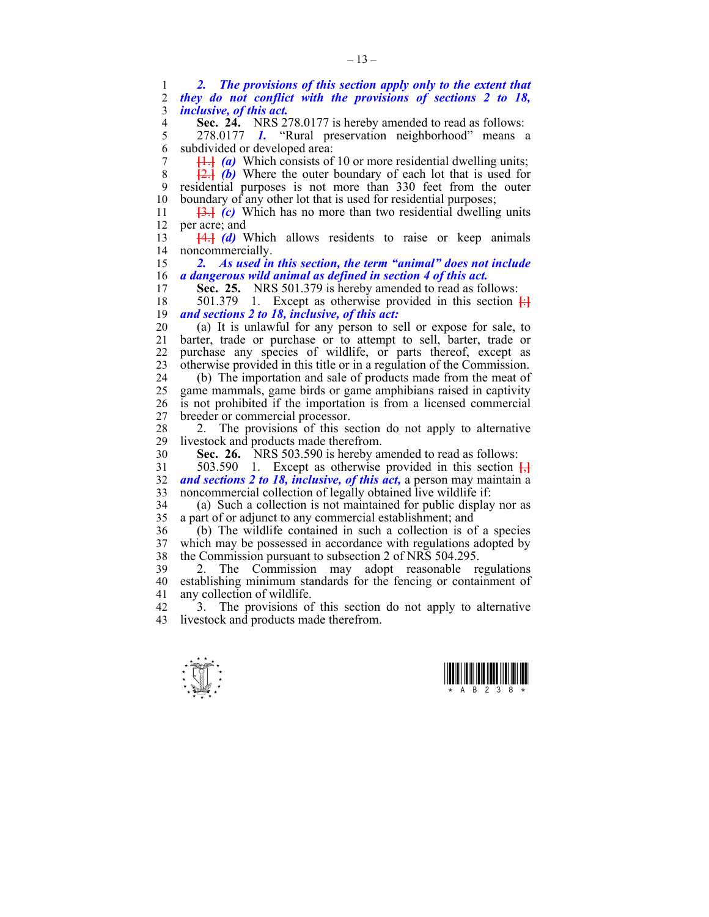1 *2. The provisions of this section apply only to the extent that*  2 *they do not conflict with the provisions of sections 2 to 18,*  3 *inclusive, of this act.*  **Sec. 24.** NRS 278.0177 is hereby amended to read as follows:<br>5 278.0177 *I*. "Rural preservation neighborhood" means 5 278.0177 *1.* "Rural preservation neighborhood" means a 6 subdivided or developed area: 7 **[**1.**]** *(a)* Which consists of 10 or more residential dwelling units; 8 **[**2.**]** *(b)* Where the outer boundary of each lot that is used for 9 residential purposes is not more than 330 feet from the outer 10 boundary of any other lot that is used for residential purposes; 11 **[**3.**]** *(c)* Which has no more than two residential dwelling units 12 per acre; and 13 **[**4.**]** *(d)* Which allows residents to raise or keep animals 14 noncommercially. 15 *2. As used in this section, the term "animal" does not include*  16 *a dangerous wild animal as defined in section 4 of this act.*  17 **Sec. 25.** NRS 501.379 is hereby amended to read as follows:

18 501.379 1. Except as otherwise provided in this section **[**:**]** 19 *and sections 2 to 18, inclusive, of this act:*

20 (a) It is unlawful for any person to sell or expose for sale, to 21 barter, trade or purchase or to attempt to sell, barter, trade or 22 purchase any species of wildlife, or parts thereof, except as 23 otherwise provided in this title or in a regulation of the Commission.

24 (b) The importation and sale of products made from the meat of 25 game mammals, game birds or game amphibians raised in captivity 26 is not prohibited if the importation is from a licensed commercial 27 breeder or commercial processor.

28 2. The provisions of this section do not apply to alternative 19 livestock and products made therefrom. livestock and products made therefrom.

30 **Sec. 26.** NRS 503.590 is hereby amended to read as follows:

31 503.590 1. Except as otherwise provided in this section **[**,**]** 32 *and sections 2 to 18, inclusive, of this act,* a person may maintain a 33 noncommercial collection of legally obtained live wildlife if:

34 (a) Such a collection is not maintained for public display nor as 35 a part of or adjunct to any commercial establishment; and

36 (b) The wildlife contained in such a collection is of a species 37 which may be possessed in accordance with regulations adopted by the Commission pursuant to subsection 2 of NRS 504.295. the Commission pursuant to subsection 2 of NRS 504.295.

39 2. The Commission may adopt reasonable regulations 40 establishing minimum standards for the fencing or containment of 41 any collection of wildlife.

42 3. The provisions of this section do not apply to alternative 43 livestock and products made therefrom.



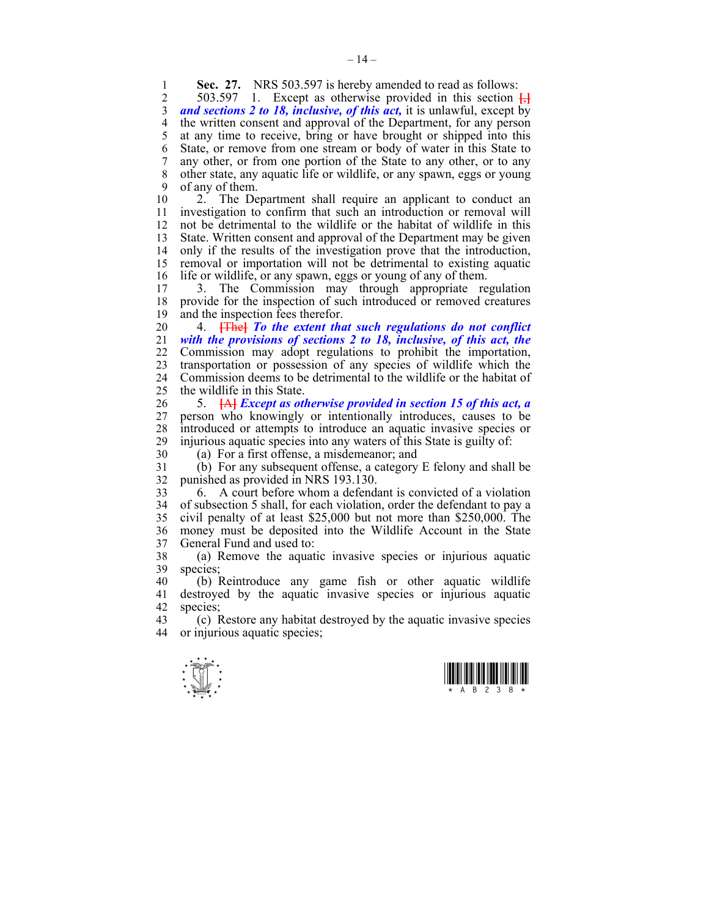**Sec. 27.** NRS 503.597 is hereby amended to read as follows:<br>2 503.597 1 Except as otherwise provided in this section

2 503.597 1. Except as otherwise provided in this section **[**,**]** 3 *and sections 2 to 18, inclusive, of this act,* it is unlawful, except by 4 the written consent and approval of the Department, for any person 5 at any time to receive, bring or have brought or shipped into this 6 State, or remove from one stream or body of water in this State to 7 any other, or from one portion of the State to any other, or to any 8 other state, any aquatic life or wildlife, or any spawn, eggs or young 9 of any of them.

10 2. The Department shall require an applicant to conduct an 11 investigation to confirm that such an introduction or removal will 12 not be detrimental to the wildlife or the habitat of wildlife in this 13 State. Written consent and approval of the Department may be given 14 only if the results of the investigation prove that the introduction, 15 removal or importation will not be detrimental to existing aquatic 16 life or wildlife, or any spawn, eggs or young of any of them.

17 3. The Commission may through appropriate regulation 18 provide for the inspection of such introduced or removed creatures 19 and the inspection fees therefor.

20 4. **[**The**]** *To the extent that such regulations do not conflict*  21 *with the provisions of sections 2 to 18, inclusive, of this act, the*  22 Commission may adopt regulations to prohibit the importation, 23 transportation or possession of any species of wildlife which the 24 Commission deems to be detrimental to the wildlife or the habitat of 25 the wildlife in this State.

26 5. **[**A**]** *Except as otherwise provided in section 15 of this act, a*  27 person who knowingly or intentionally introduces, causes to be 28 introduced or attempts to introduce an aquatic invasive species or 29 injurious aquatic species into any waters of this State is guilty of:

30 (a) For a first offense, a misdemeanor; and

31 (b) For any subsequent offense, a category E felony and shall be 32 punished as provided in NRS 193.130.

33 6. A court before whom a defendant is convicted of a violation 34 of subsection 5 shall, for each violation, order the defendant to pay a 35 civil penalty of at least \$25,000 but not more than \$250,000. The 36 money must be deposited into the Wildlife Account in the State 37 General Fund and used to:

38 (a) Remove the aquatic invasive species or injurious aquatic 39 species;

40 (b) Reintroduce any game fish or other aquatic wildlife 41 destroyed by the aquatic invasive species or injurious aquatic 42 species;<br>43 (c) F

43 (c) Restore any habitat destroyed by the aquatic invasive species 44 or injurious aquatic species;



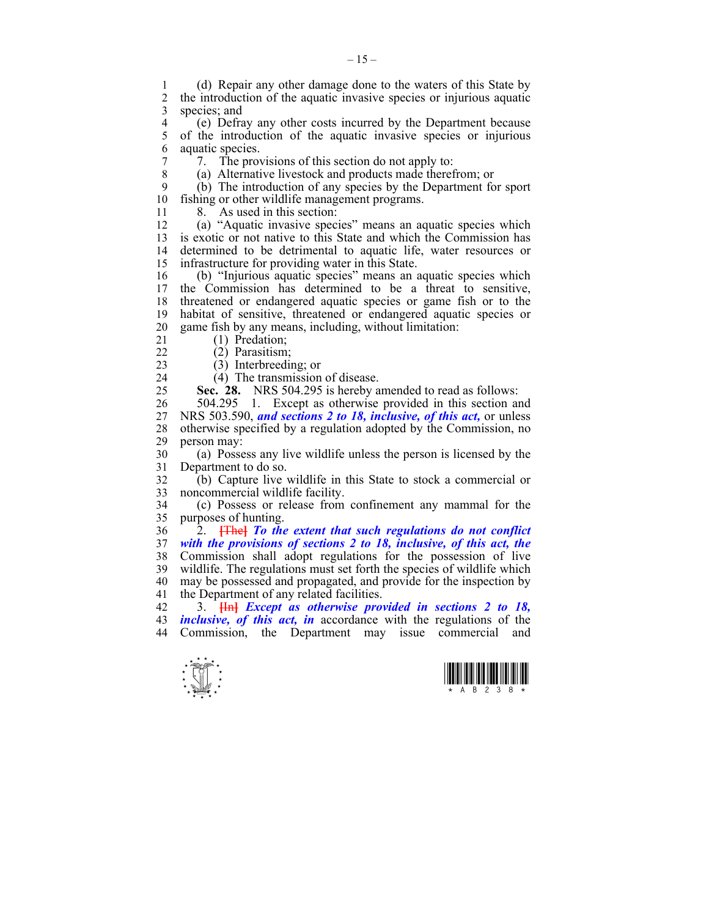1 (d) Repair any other damage done to the waters of this State by 2 the introduction of the aquatic invasive species or injurious aquatic 3 species; and

4 (e) Defray any other costs incurred by the Department because<br>5 of the introduction of the aquatic invasive species or injurious 5 of the introduction of the aquatic invasive species or injurious 6 aquatic species.

7 7. The provisions of this section do not apply to:

8 (a) Alternative livestock and products made therefrom; or

9 (b) The introduction of any species by the Department for sport 10 fishing or other wildlife management programs.

11 8 As used in this section:

12 (a) "Aquatic invasive species" means an aquatic species which 13 is exotic or not native to this State and which the Commission has 14 determined to be detrimental to aquatic life, water resources or 15 infrastructure for providing water in this State.

16 (b) "Injurious aquatic species" means an aquatic species which 17 the Commission has determined to be a threat to sensitive, 18 threatened or endangered aquatic species or game fish or to the 19 habitat of sensitive, threatened or endangered aquatic species or 20 game fish by any means, including, without limitation:

21 (1) Predation;

22 (2) Parasitism;

23 (3) Interbreeding; or

24 (4) The transmission of disease.

25 **Sec. 28.** NRS 504.295 is hereby amended to read as follows:

26 504.295 1. Except as otherwise provided in this section and 27 NRS 503.590, *and sections 2 to 18, inclusive, of this act,* or unless 28 otherwise specified by a regulation adopted by the Commission, no 29 person may:

30 (a) Possess any live wildlife unless the person is licensed by the 31 Department to do so.

32 (b) Capture live wildlife in this State to stock a commercial or 33 noncommercial wildlife facility.

34 (c) Possess or release from confinement any mammal for the 35 purposes of hunting.

36 2. **[**The**]** *To the extent that such regulations do not conflict*  37 *with the provisions of sections 2 to 18, inclusive, of this act, the*  38 Commission shall adopt regulations for the possession of live 39 wildlife. The regulations must set forth the species of wildlife which 40 may be possessed and propagated, and provide for the inspection by 41 the Department of any related facilities.

42 3. **[**In**]** *Except as otherwise provided in sections 2 to 18,*  43 *inclusive, of this act, in* accordance with the regulations of the 44 Commission, the Department may issue commercial and